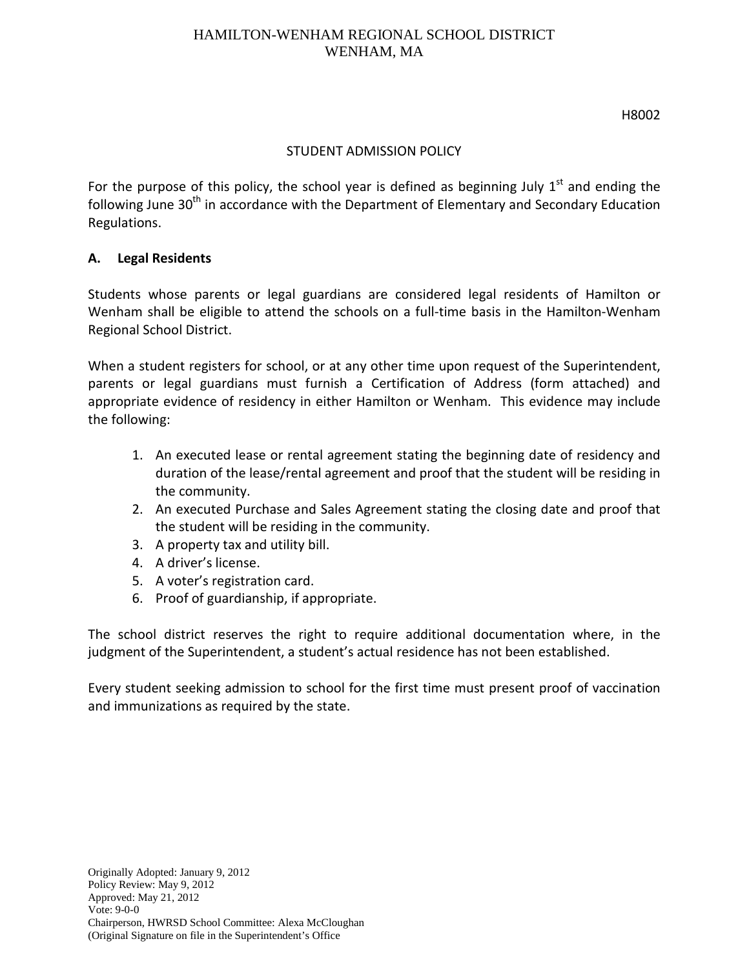#### H8002

#### STUDENT ADMISSION POLICY

For the purpose of this policy, the school year is defined as beginning July  $1<sup>st</sup>$  and ending the following June 30<sup>th</sup> in accordance with the Department of Elementary and Secondary Education Regulations.

#### **A. Legal Residents**

Students whose parents or legal guardians are considered legal residents of Hamilton or Wenham shall be eligible to attend the schools on a full-time basis in the Hamilton-Wenham Regional School District.

When a student registers for school, or at any other time upon request of the Superintendent, parents or legal guardians must furnish a Certification of Address (form attached) and appropriate evidence of residency in either Hamilton or Wenham. This evidence may include the following:

- 1. An executed lease or rental agreement stating the beginning date of residency and duration of the lease/rental agreement and proof that the student will be residing in the community.
- 2. An executed Purchase and Sales Agreement stating the closing date and proof that the student will be residing in the community.
- 3. A property tax and utility bill.
- 4. A driver's license.
- 5. A voter's registration card.
- 6. Proof of guardianship, if appropriate.

The school district reserves the right to require additional documentation where, in the judgment of the Superintendent, a student's actual residence has not been established.

Every student seeking admission to school for the first time must present proof of vaccination and immunizations as required by the state.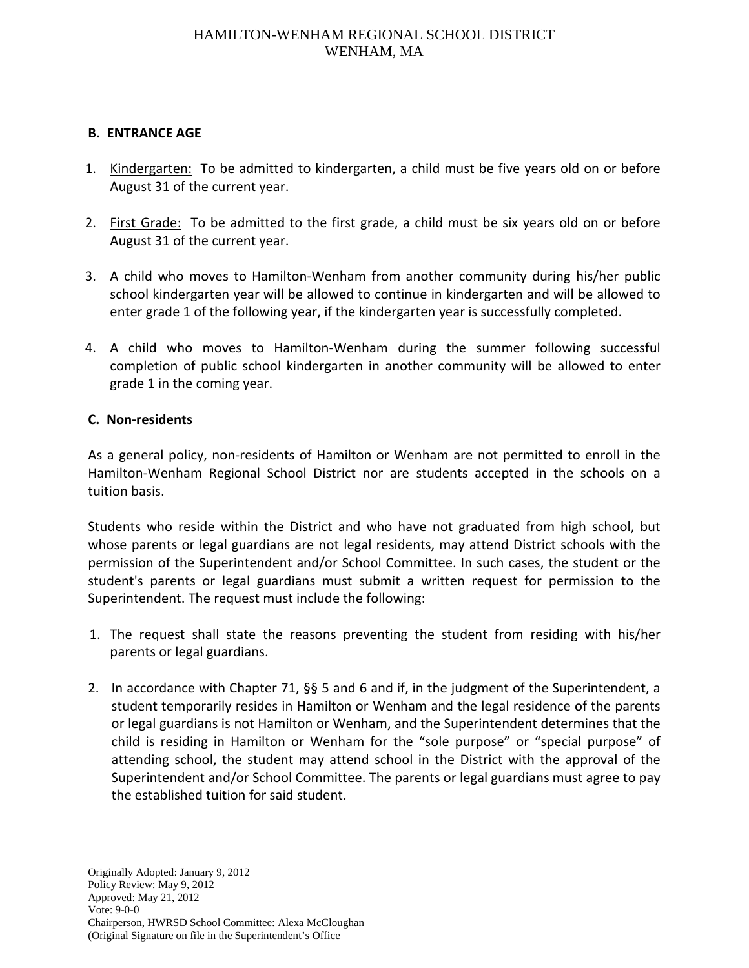#### **B. ENTRANCE AGE**

- 1. Kindergarten: To be admitted to kindergarten, a child must be five years old on or before August 31 of the current year.
- 2. First Grade: To be admitted to the first grade, a child must be six years old on or before August 31 of the current year.
- 3. A child who moves to Hamilton-Wenham from another community during his/her public school kindergarten year will be allowed to continue in kindergarten and will be allowed to enter grade 1 of the following year, if the kindergarten year is successfully completed.
- 4. A child who moves to Hamilton-Wenham during the summer following successful completion of public school kindergarten in another community will be allowed to enter grade 1 in the coming year.

#### **C. Non-residents**

As a general policy, non-residents of Hamilton or Wenham are not permitted to enroll in the Hamilton-Wenham Regional School District nor are students accepted in the schools on a tuition basis.

Students who reside within the District and who have not graduated from high school, but whose parents or legal guardians are not legal residents, may attend District schools with the permission of the Superintendent and/or School Committee. In such cases, the student or the student's parents or legal guardians must submit a written request for permission to the Superintendent. The request must include the following:

- 1. The request shall state the reasons preventing the student from residing with his/her parents or legal guardians.
- 2. In accordance with Chapter 71, §§ 5 and 6 and if, in the judgment of the Superintendent, a student temporarily resides in Hamilton or Wenham and the legal residence of the parents or legal guardians is not Hamilton or Wenham, and the Superintendent determines that the child is residing in Hamilton or Wenham for the "sole purpose" or "special purpose" of attending school, the student may attend school in the District with the approval of the Superintendent and/or School Committee. The parents or legal guardians must agree to pay the established tuition for said student.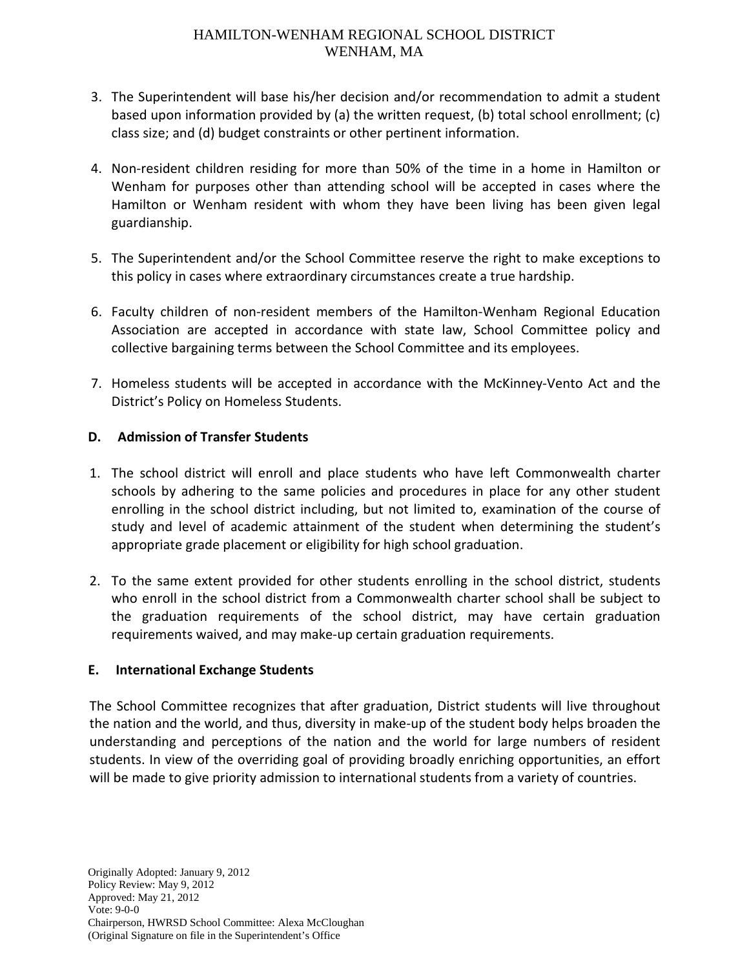- 3. The Superintendent will base his/her decision and/or recommendation to admit a student based upon information provided by (a) the written request, (b) total school enrollment; (c) class size; and (d) budget constraints or other pertinent information.
- 4. Non-resident children residing for more than 50% of the time in a home in Hamilton or Wenham for purposes other than attending school will be accepted in cases where the Hamilton or Wenham resident with whom they have been living has been given legal guardianship.
- 5. The Superintendent and/or the School Committee reserve the right to make exceptions to this policy in cases where extraordinary circumstances create a true hardship.
- 6. Faculty children of non-resident members of the Hamilton-Wenham Regional Education Association are accepted in accordance with state law, School Committee policy and collective bargaining terms between the School Committee and its employees.
- 7. Homeless students will be accepted in accordance with the McKinney-Vento Act and the District's Policy on Homeless Students.

# **D. Admission of Transfer Students**

- 1. The school district will enroll and place students who have left Commonwealth charter schools by adhering to the same policies and procedures in place for any other student enrolling in the school district including, but not limited to, examination of the course of study and level of academic attainment of the student when determining the student's appropriate grade placement or eligibility for high school graduation.
- 2. To the same extent provided for other students enrolling in the school district, students who enroll in the school district from a Commonwealth charter school shall be subject to the graduation requirements of the school district, may have certain graduation requirements waived, and may make-up certain graduation requirements.

# **E. International Exchange Students**

The School Committee recognizes that after graduation, District students will live throughout the nation and the world, and thus, diversity in make-up of the student body helps broaden the understanding and perceptions of the nation and the world for large numbers of resident students. In view of the overriding goal of providing broadly enriching opportunities, an effort will be made to give priority admission to international students from a variety of countries.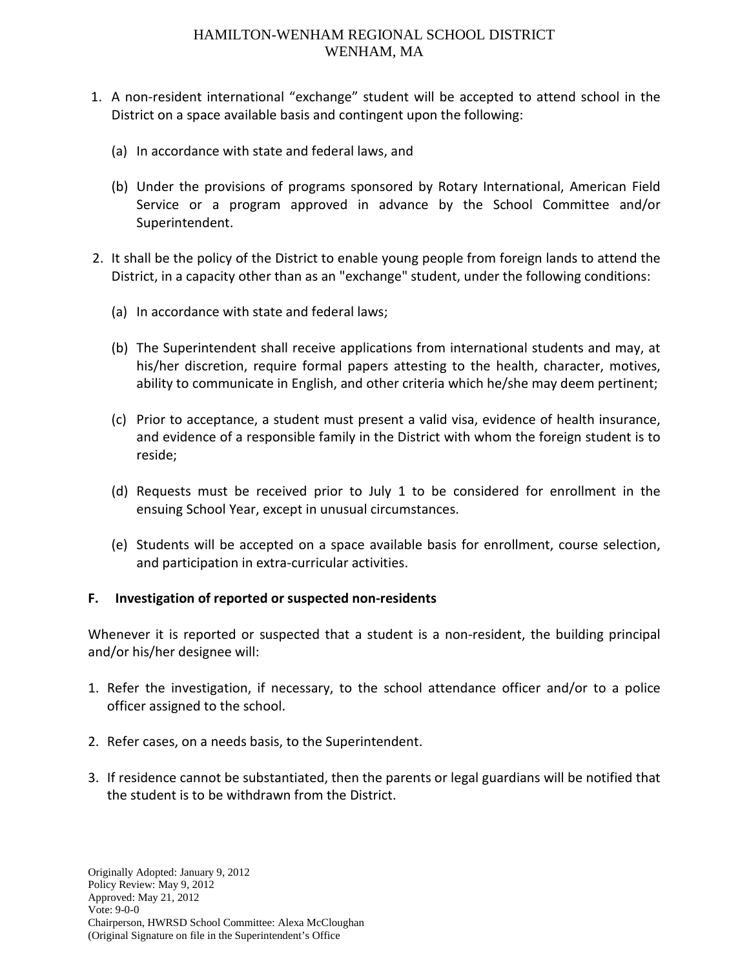- 1. A non-resident international "exchange" student will be accepted to attend school in the District on a space available basis and contingent upon the following:
	- (a) In accordance with state and federal laws, and
	- (b) Under the provisions of programs sponsored by Rotary International, American Field Service or a program approved in advance by the School Committee and/or Superintendent.
- 2. It shall be the policy of the District to enable young people from foreign lands to attend the District, in a capacity other than as an "exchange" student, under the following conditions:
	- (a) In accordance with state and federal laws;
	- (b) The Superintendent shall receive applications from international students and may, at his/her discretion, require formal papers attesting to the health, character, motives, ability to communicate in English, and other criteria which he/she may deem pertinent;
	- (c) Prior to acceptance, a student must present a valid visa, evidence of health insurance, and evidence of a responsible family in the District with whom the foreign student is to reside;
	- (d) Requests must be received prior to July 1 to be considered for enrollment in the ensuing School Year, except in unusual circumstances.
	- (e) Students will be accepted on a space available basis for enrollment, course selection, and participation in extra-curricular activities.

# **F. Investigation of reported or suspected non-residents**

Whenever it is reported or suspected that a student is a non-resident, the building principal and/or his/her designee will:

- 1. Refer the investigation, if necessary, to the school attendance officer and/or to a police officer assigned to the school.
- 2. Refer cases, on a needs basis, to the Superintendent.
- 3. If residence cannot be substantiated, then the parents or legal guardians will be notified that the student is to be withdrawn from the District.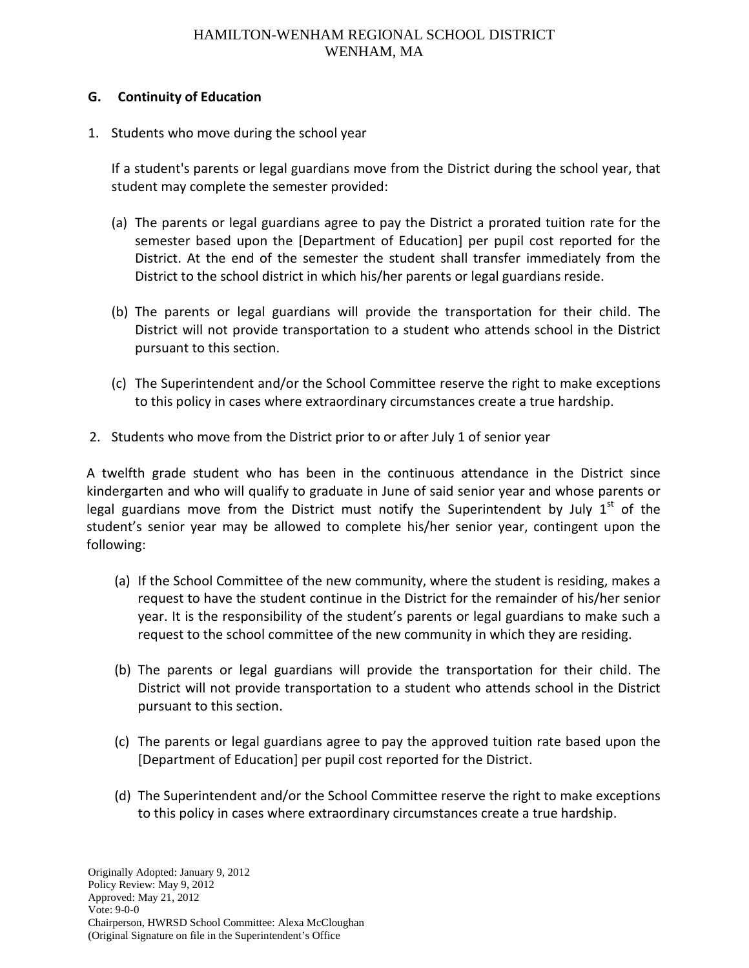#### **G. Continuity of Education**

1. Students who move during the school year

If a student's parents or legal guardians move from the District during the school year, that student may complete the semester provided:

- (a) The parents or legal guardians agree to pay the District a prorated tuition rate for the semester based upon the [Department of Education] per pupil cost reported for the District. At the end of the semester the student shall transfer immediately from the District to the school district in which his/her parents or legal guardians reside.
- (b) The parents or legal guardians will provide the transportation for their child. The District will not provide transportation to a student who attends school in the District pursuant to this section.
- (c) The Superintendent and/or the School Committee reserve the right to make exceptions to this policy in cases where extraordinary circumstances create a true hardship.
- 2. Students who move from the District prior to or after July 1 of senior year

A twelfth grade student who has been in the continuous attendance in the District since kindergarten and who will qualify to graduate in June of said senior year and whose parents or legal guardians move from the District must notify the Superintendent by July  $1<sup>st</sup>$  of the student's senior year may be allowed to complete his/her senior year, contingent upon the following:

- (a) If the School Committee of the new community, where the student is residing, makes a request to have the student continue in the District for the remainder of his/her senior year. It is the responsibility of the student's parents or legal guardians to make such a request to the school committee of the new community in which they are residing.
- (b) The parents or legal guardians will provide the transportation for their child. The District will not provide transportation to a student who attends school in the District pursuant to this section.
- (c) The parents or legal guardians agree to pay the approved tuition rate based upon the [Department of Education] per pupil cost reported for the District.
- (d) The Superintendent and/or the School Committee reserve the right to make exceptions to this policy in cases where extraordinary circumstances create a true hardship.